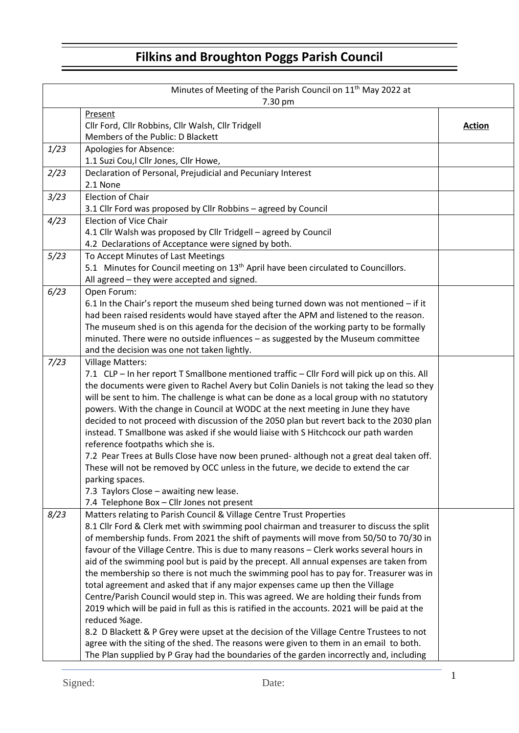## **Filkins and Broughton Poggs Parish Council**

| Minutes of Meeting of the Parish Council on 11 <sup>th</sup> May 2022 at |                                                                                                |               |  |
|--------------------------------------------------------------------------|------------------------------------------------------------------------------------------------|---------------|--|
| 7.30 pm                                                                  |                                                                                                |               |  |
|                                                                          | Present                                                                                        |               |  |
|                                                                          | Cllr Ford, Cllr Robbins, Cllr Walsh, Cllr Tridgell                                             | <b>Action</b> |  |
|                                                                          | Members of the Public: D Blackett                                                              |               |  |
| 1/23                                                                     | Apologies for Absence:                                                                         |               |  |
|                                                                          | 1.1 Suzi Cou, I Cllr Jones, Cllr Howe,                                                         |               |  |
| 2/23                                                                     | Declaration of Personal, Prejudicial and Pecuniary Interest                                    |               |  |
|                                                                          | 2.1 None                                                                                       |               |  |
| 3/23                                                                     | <b>Election of Chair</b>                                                                       |               |  |
|                                                                          | 3.1 Cllr Ford was proposed by Cllr Robbins - agreed by Council                                 |               |  |
| 4/23                                                                     | <b>Election of Vice Chair</b>                                                                  |               |  |
|                                                                          | 4.1 Cllr Walsh was proposed by Cllr Tridgell - agreed by Council                               |               |  |
|                                                                          | 4.2 Declarations of Acceptance were signed by both.                                            |               |  |
| 5/23                                                                     | To Accept Minutes of Last Meetings                                                             |               |  |
|                                                                          | 5.1 Minutes for Council meeting on 13 <sup>th</sup> April have been circulated to Councillors. |               |  |
|                                                                          | All agreed - they were accepted and signed.                                                    |               |  |
| 6/23                                                                     | Open Forum:                                                                                    |               |  |
|                                                                          | 6.1 In the Chair's report the museum shed being turned down was not mentioned - if it          |               |  |
|                                                                          | had been raised residents would have stayed after the APM and listened to the reason.          |               |  |
|                                                                          | The museum shed is on this agenda for the decision of the working party to be formally         |               |  |
|                                                                          | minuted. There were no outside influences - as suggested by the Museum committee               |               |  |
|                                                                          | and the decision was one not taken lightly.                                                    |               |  |
| 7/23                                                                     | <b>Village Matters:</b>                                                                        |               |  |
|                                                                          | 7.1 CLP - In her report T Smallbone mentioned traffic - Cllr Ford will pick up on this. All    |               |  |
|                                                                          | the documents were given to Rachel Avery but Colin Daniels is not taking the lead so they      |               |  |
|                                                                          | will be sent to him. The challenge is what can be done as a local group with no statutory      |               |  |
|                                                                          | powers. With the change in Council at WODC at the next meeting in June they have               |               |  |
|                                                                          | decided to not proceed with discussion of the 2050 plan but revert back to the 2030 plan       |               |  |
|                                                                          | instead. T Smallbone was asked if she would liaise with S Hitchcock our path warden            |               |  |
|                                                                          | reference footpaths which she is.                                                              |               |  |
|                                                                          | 7.2 Pear Trees at Bulls Close have now been pruned- although not a great deal taken off.       |               |  |
|                                                                          | These will not be removed by OCC unless in the future, we decide to extend the car             |               |  |
|                                                                          | parking spaces.                                                                                |               |  |
|                                                                          | 7.3 Taylors Close - awaiting new lease.                                                        |               |  |
|                                                                          | 7.4 Telephone Box - Cllr Jones not present                                                     |               |  |
| 8/23                                                                     | Matters relating to Parish Council & Village Centre Trust Properties                           |               |  |
|                                                                          | 8.1 Cllr Ford & Clerk met with swimming pool chairman and treasurer to discuss the split       |               |  |
|                                                                          | of membership funds. From 2021 the shift of payments will move from 50/50 to 70/30 in          |               |  |
|                                                                          | favour of the Village Centre. This is due to many reasons - Clerk works several hours in       |               |  |
|                                                                          | aid of the swimming pool but is paid by the precept. All annual expenses are taken from        |               |  |
|                                                                          | the membership so there is not much the swimming pool has to pay for. Treasurer was in         |               |  |
|                                                                          | total agreement and asked that if any major expenses came up then the Village                  |               |  |
|                                                                          | Centre/Parish Council would step in. This was agreed. We are holding their funds from          |               |  |
|                                                                          | 2019 which will be paid in full as this is ratified in the accounts. 2021 will be paid at the  |               |  |
|                                                                          | reduced %age.                                                                                  |               |  |
|                                                                          | 8.2 D Blackett & P Grey were upset at the decision of the Village Centre Trustees to not       |               |  |
|                                                                          | agree with the siting of the shed. The reasons were given to them in an email to both.         |               |  |
|                                                                          | The Plan supplied by P Gray had the boundaries of the garden incorrectly and, including        |               |  |